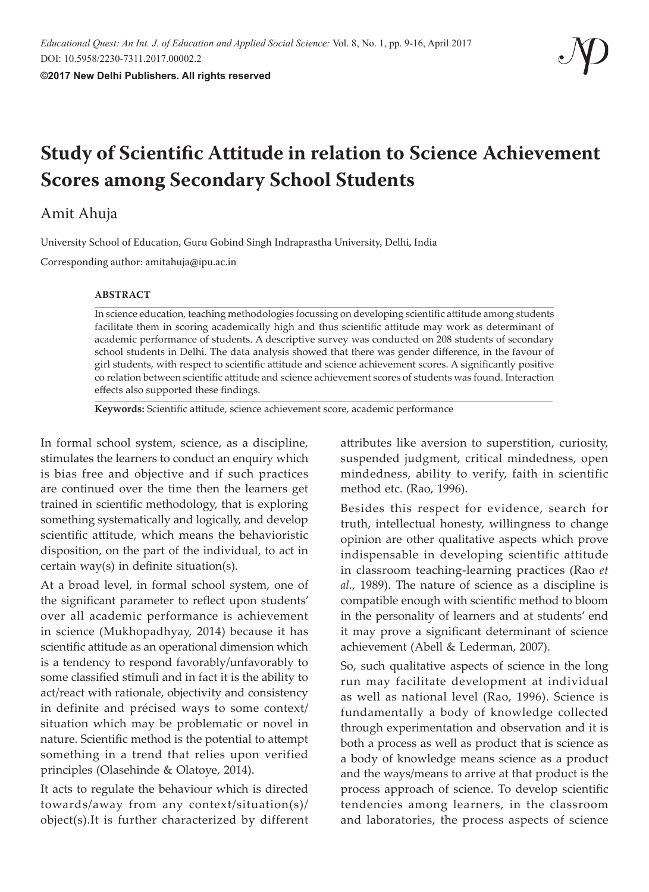# **Study of Scientific Attitude in relation to Science Achievement Scores among Secondary School Students**

# Amit Ahuja

University School of Education, Guru Gobind Singh Indraprastha University, Delhi, India

Corresponding author: amitahuja@ipu.ac.in

#### **ABSTRACT**

In science education, teaching methodologies focussing on developing scientific attitude among students facilitate them in scoring academically high and thus scientific attitude may work as determinant of academic performance of students. A descriptive survey was conducted on 208 students of secondary school students in Delhi. The data analysis showed that there was gender difference, in the favour of girl students, with respect to scientific attitude and science achievement scores. A significantly positive co relation between scientific attitude and science achievement scores of students was found. Interaction effects also supported these findings.

**Keywords:** Scientific attitude, science achievement score, academic performance

In formal school system, science, as a discipline, stimulates the learners to conduct an enquiry which is bias free and objective and if such practices are continued over the time then the learners get trained in scientific methodology, that is exploring something systematically and logically, and develop scientific attitude, which means the behavioristic disposition, on the part of the individual, to act in certain way(s) in definite situation(s).

At a broad level, in formal school system, one of the significant parameter to reflect upon students' over all academic performance is achievement in science (Mukhopadhyay, 2014) because it has scientific attitude as an operational dimension which is a tendency to respond favorably/unfavorably to some classified stimuli and in fact it is the ability to act/react with rationale, objectivity and consistency in definite and précised ways to some context/ situation which may be problematic or novel in nature. Scientific method is the potential to attempt something in a trend that relies upon verified principles (Olasehinde & Olatoye, 2014).

It acts to regulate the behaviour which is directed towards/away from any context/situation(s)/ object(s).It is further characterized by different attributes like aversion to superstition, curiosity, suspended judgment, critical mindedness, open mindedness, ability to verify, faith in scientific method etc. (Rao, 1996).

Besides this respect for evidence, search for truth, intellectual honesty, willingness to change opinion are other qualitative aspects which prove indispensable in developing scientific attitude in classroom teaching-learning practices (Rao *et al.,* 1989). The nature of science as a discipline is compatible enough with scientific method to bloom in the personality of learners and at students' end it may prove a significant determinant of science achievement (Abell & Lederman, 2007).

So, such qualitative aspects of science in the long run may facilitate development at individual as well as national level (Rao, 1996). Science is fundamentally a body of knowledge collected through experimentation and observation and it is both a process as well as product that is science as a body of knowledge means science as a product and the ways/means to arrive at that product is the process approach of science. To develop scientific tendencies among learners, in the classroom and laboratories, the process aspects of science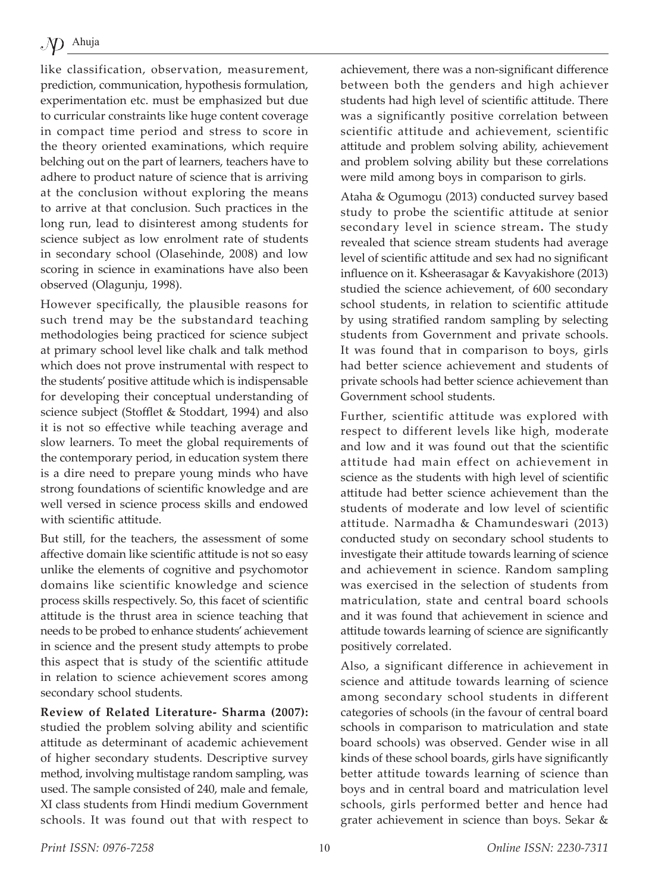like classification, observation, measurement, prediction, communication, hypothesis formulation, experimentation etc. must be emphasized but due to curricular constraints like huge content coverage in compact time period and stress to score in the theory oriented examinations, which require belching out on the part of learners, teachers have to adhere to product nature of science that is arriving at the conclusion without exploring the means to arrive at that conclusion. Such practices in the long run, lead to disinterest among students for science subject as low enrolment rate of students in secondary school (Olasehinde, 2008) and low scoring in science in examinations have also been observed (Olagunju, 1998).

However specifically, the plausible reasons for such trend may be the substandard teaching methodologies being practiced for science subject at primary school level like chalk and talk method which does not prove instrumental with respect to the students' positive attitude which is indispensable for developing their conceptual understanding of science subject (Stofflet & Stoddart, 1994) and also it is not so effective while teaching average and slow learners. To meet the global requirements of the contemporary period, in education system there is a dire need to prepare young minds who have strong foundations of scientific knowledge and are well versed in science process skills and endowed with scientific attitude.

But still, for the teachers, the assessment of some affective domain like scientific attitude is not so easy unlike the elements of cognitive and psychomotor domains like scientific knowledge and science process skills respectively. So, this facet of scientific attitude is the thrust area in science teaching that needs to be probed to enhance students' achievement in science and the present study attempts to probe this aspect that is study of the scientific attitude in relation to science achievement scores among secondary school students.

**Review of Related Literature- Sharma (2007):**  studied the problem solving ability and scientific attitude as determinant of academic achievement of higher secondary students. Descriptive survey method, involving multistage random sampling, was used. The sample consisted of 240, male and female, XI class students from Hindi medium Government schools. It was found out that with respect to achievement, there was a non-significant difference between both the genders and high achiever students had high level of scientific attitude. There was a significantly positive correlation between scientific attitude and achievement, scientific attitude and problem solving ability, achievement and problem solving ability but these correlations were mild among boys in comparison to girls.

Ataha & Ogumogu (2013) conducted survey based study to probe the scientific attitude at senior secondary level in science stream**.** The study revealed that science stream students had average level of scientific attitude and sex had no significant influence on it. Ksheerasagar & Kavyakishore (2013) studied the science achievement, of 600 secondary school students, in relation to scientific attitude by using stratified random sampling by selecting students from Government and private schools. It was found that in comparison to boys, girls had better science achievement and students of private schools had better science achievement than Government school students.

Further, scientific attitude was explored with respect to different levels like high, moderate and low and it was found out that the scientific attitude had main effect on achievement in science as the students with high level of scientific attitude had better science achievement than the students of moderate and low level of scientific attitude. Narmadha & Chamundeswari (2013) conducted study on secondary school students to investigate their attitude towards learning of science and achievement in science. Random sampling was exercised in the selection of students from matriculation, state and central board schools and it was found that achievement in science and attitude towards learning of science are significantly positively correlated.

Also, a significant difference in achievement in science and attitude towards learning of science among secondary school students in different categories of schools (in the favour of central board schools in comparison to matriculation and state board schools) was observed. Gender wise in all kinds of these school boards, girls have significantly better attitude towards learning of science than boys and in central board and matriculation level schools, girls performed better and hence had grater achievement in science than boys. Sekar &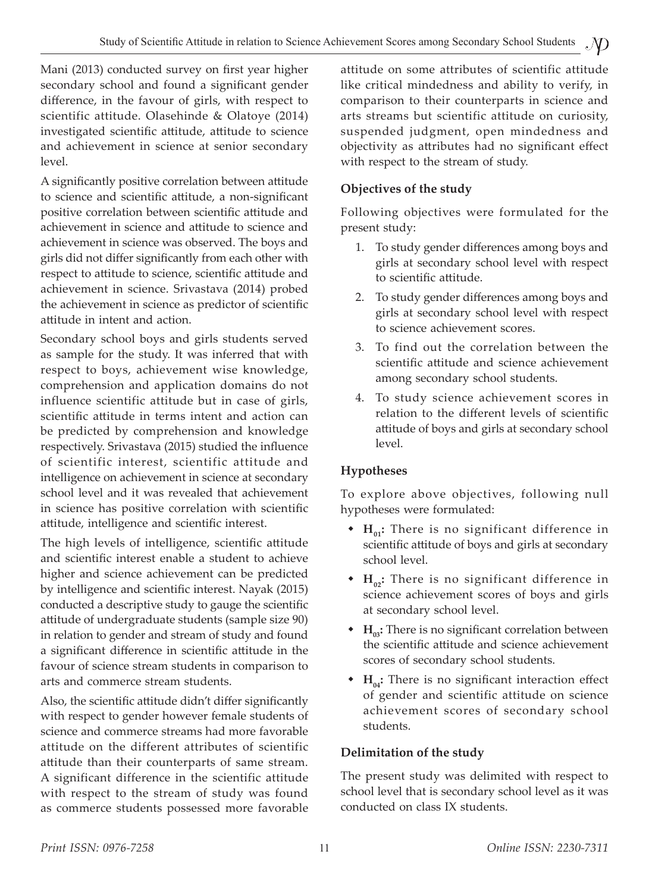Mani (2013) conducted survey on first year higher secondary school and found a significant gender difference, in the favour of girls, with respect to scientific attitude. Olasehinde & Olatoye (2014) investigated scientific attitude, attitude to science and achievement in science at senior secondary level.

A significantly positive correlation between attitude to science and scientific attitude, a non-significant positive correlation between scientific attitude and achievement in science and attitude to science and achievement in science was observed. The boys and girls did not differ significantly from each other with respect to attitude to science, scientific attitude and achievement in science. Srivastava (2014) probed the achievement in science as predictor of scientific attitude in intent and action.

Secondary school boys and girls students served as sample for the study. It was inferred that with respect to boys, achievement wise knowledge, comprehension and application domains do not influence scientific attitude but in case of girls, scientific attitude in terms intent and action can be predicted by comprehension and knowledge respectively. Srivastava (2015) studied the influence of scientific interest, scientific attitude and intelligence on achievement in science at secondary school level and it was revealed that achievement in science has positive correlation with scientific attitude, intelligence and scientific interest.

The high levels of intelligence, scientific attitude and scientific interest enable a student to achieve higher and science achievement can be predicted by intelligence and scientific interest. Nayak (2015) conducted a descriptive study to gauge the scientific attitude of undergraduate students (sample size 90) in relation to gender and stream of study and found a significant difference in scientific attitude in the favour of science stream students in comparison to arts and commerce stream students.

Also, the scientific attitude didn't differ significantly with respect to gender however female students of science and commerce streams had more favorable attitude on the different attributes of scientific attitude than their counterparts of same stream. A significant difference in the scientific attitude with respect to the stream of study was found as commerce students possessed more favorable attitude on some attributes of scientific attitude like critical mindedness and ability to verify, in comparison to their counterparts in science and arts streams but scientific attitude on curiosity, suspended judgment, open mindedness and objectivity as attributes had no significant effect with respect to the stream of study.

# **Objectives of the study**

Following objectives were formulated for the present study:

- 1. To study gender differences among boys and girls at secondary school level with respect to scientific attitude.
- 2. To study gender differences among boys and girls at secondary school level with respect to science achievement scores.
- 3. To find out the correlation between the scientific attitude and science achievement among secondary school students.
- 4. To study science achievement scores in relation to the different levels of scientific attitude of boys and girls at secondary school level.

# **Hypotheses**

To explore above objectives, following null hypotheses were formulated:

- ◆ H<sub>01</sub>: There is no significant difference in scientific attitude of boys and girls at secondary school level.
- ◆ H<sub>02</sub>: There is no significant difference in science achievement scores of boys and girls at secondary school level.
- ◆ H<sub>03</sub>: There is no significant correlation between the scientific attitude and science achievement scores of secondary school students.
- H<sub>04</sub>: There is no significant interaction effect of gender and scientific attitude on science achievement scores of secondary school students.

# **Delimitation of the study**

The present study was delimited with respect to school level that is secondary school level as it was conducted on class IX students.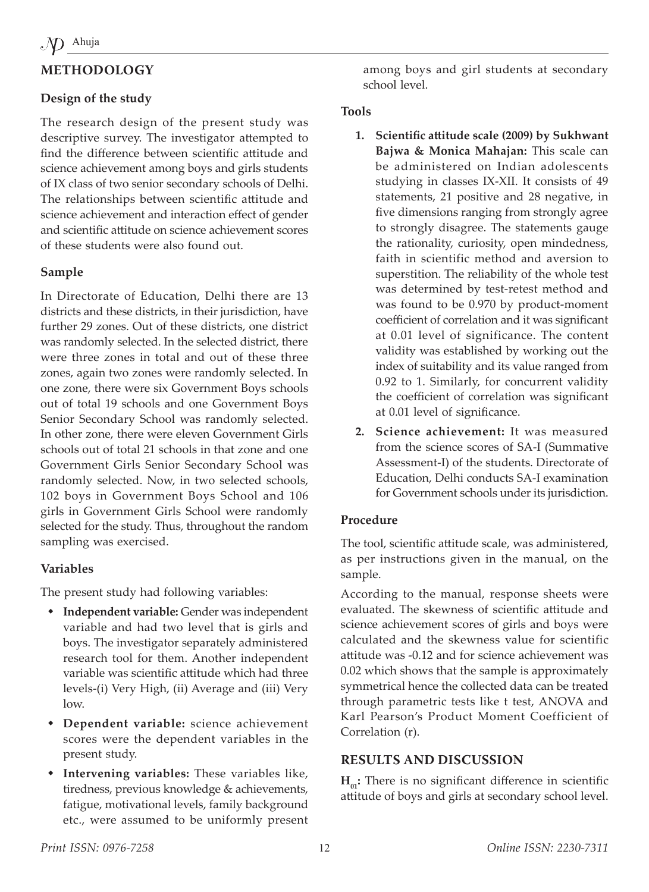# **METHODOLOGY**

### **Design of the study**

The research design of the present study was descriptive survey. The investigator attempted to find the difference between scientific attitude and science achievement among boys and girls students of IX class of two senior secondary schools of Delhi. The relationships between scientific attitude and science achievement and interaction effect of gender and scientific attitude on science achievement scores of these students were also found out.

#### **Sample**

In Directorate of Education, Delhi there are 13 districts and these districts, in their jurisdiction, have further 29 zones. Out of these districts, one district was randomly selected. In the selected district, there were three zones in total and out of these three zones, again two zones were randomly selected. In one zone, there were six Government Boys schools out of total 19 schools and one Government Boys Senior Secondary School was randomly selected. In other zone, there were eleven Government Girls schools out of total 21 schools in that zone and one Government Girls Senior Secondary School was randomly selected. Now, in two selected schools, 102 boys in Government Boys School and 106 girls in Government Girls School were randomly selected for the study. Thus, throughout the random sampling was exercised.

#### **Variables**

The present study had following variables:

- **Independent variable:** Gender was independent variable and had two level that is girls and boys. The investigator separately administered research tool for them. Another independent variable was scientific attitude which had three levels-(i) Very High, (ii) Average and (iii) Very low.
- **Dependent variable:** science achievement scores were the dependent variables in the present study.
- **Intervening variables:** These variables like, tiredness, previous knowledge & achievements, fatigue, motivational levels, family background etc., were assumed to be uniformly present

among boys and girl students at secondary school level.

#### **Tools**

- **1. Scientific attitude scale (2009) by Sukhwant Bajwa & Monica Mahajan:** This scale can be administered on Indian adolescents studying in classes IX-XII. It consists of 49 statements, 21 positive and 28 negative, in five dimensions ranging from strongly agree to strongly disagree. The statements gauge the rationality, curiosity, open mindedness, faith in scientific method and aversion to superstition. The reliability of the whole test was determined by test-retest method and was found to be 0.970 by product-moment coefficient of correlation and it was significant at 0.01 level of significance. The content validity was established by working out the index of suitability and its value ranged from 0.92 to 1. Similarly, for concurrent validity the coefficient of correlation was significant at 0.01 level of significance.
- **2. Science achievement:** It was measured from the science scores of SA-I (Summative Assessment-I) of the students. Directorate of Education, Delhi conducts SA-I examination for Government schools under its jurisdiction.

#### **Procedure**

The tool, scientific attitude scale, was administered, as per instructions given in the manual, on the sample.

According to the manual, response sheets were evaluated. The skewness of scientific attitude and science achievement scores of girls and boys were calculated and the skewness value for scientific attitude was -0.12 and for science achievement was 0.02 which shows that the sample is approximately symmetrical hence the collected data can be treated through parametric tests like t test, ANOVA and Karl Pearson's Product Moment Coefficient of Correlation (r).

#### **RESULTS AND DISCUSSION**

 $H_{01}$ : There is no significant difference in scientific attitude of boys and girls at secondary school level.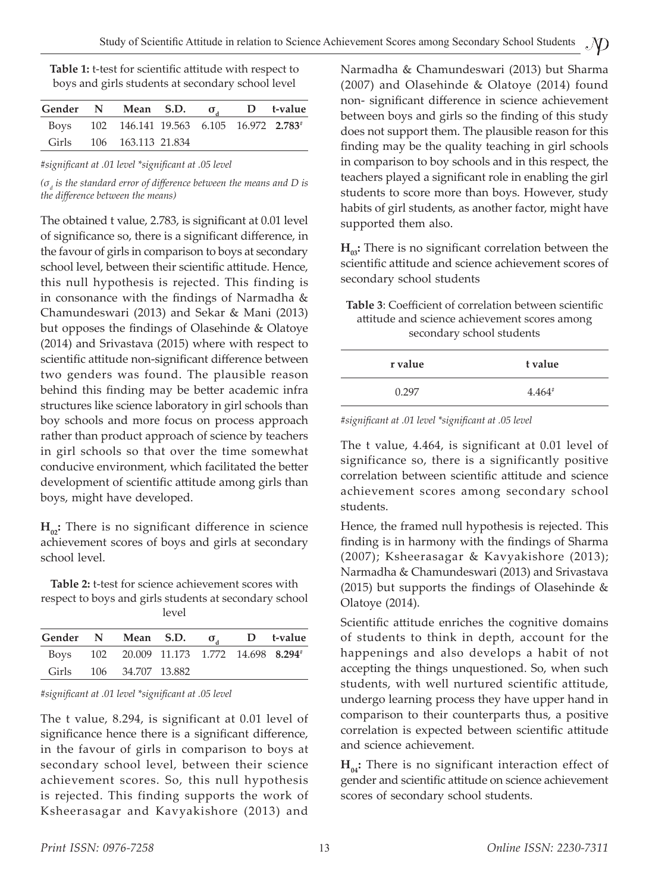| Table 1: t-test for scientific attitude with respect to |
|---------------------------------------------------------|
| boys and girls students at secondary school level       |

| Gender N Mean S.D. $\sigma_{\rm a}$ D t-value |                                                         |  |  |
|-----------------------------------------------|---------------------------------------------------------|--|--|
|                                               | Boys 102 146.141 19.563 6.105 16.972 2.783 <sup>#</sup> |  |  |
| Girls                                         | 106 163.113 21.834                                      |  |  |

*#significant at .01 level \*significant at .05 level*

*(σd is the standard error of difference between the means and D is the difference between the means)*

The obtained t value, 2.783, is significant at 0.01 level of significance so, there is a significant difference, in the favour of girls in comparison to boys at secondary school level, between their scientific attitude. Hence, this null hypothesis is rejected. This finding is in consonance with the findings of Narmadha & Chamundeswari (2013) and Sekar & Mani (2013) but opposes the findings of Olasehinde & Olatoye (2014) and Srivastava (2015) where with respect to scientific attitude non-significant difference between two genders was found. The plausible reason behind this finding may be better academic infra structures like science laboratory in girl schools than boy schools and more focus on process approach rather than product approach of science by teachers in girl schools so that over the time somewhat conducive environment, which facilitated the better development of scientific attitude among girls than boys, might have developed.

 $H_{\alpha}$ : There is no significant difference in science achievement scores of boys and girls at secondary school level.

**Table 2:** t-test for science achievement scores with respect to boys and girls students at secondary school level

| Gender N Mean S.D. $\sigma_{A}$ D t-value |                                                        |  |  |
|-------------------------------------------|--------------------------------------------------------|--|--|
|                                           | Boys 102 20.009 11.173 1.772 14.698 8.294 <sup>#</sup> |  |  |
|                                           | Girls 106 34.707 13.882                                |  |  |

| #significant at .01 level *significant at .05 level |  |  |  |
|-----------------------------------------------------|--|--|--|
|                                                     |  |  |  |

The t value, 8.294, is significant at 0.01 level of significance hence there is a significant difference, in the favour of girls in comparison to boys at secondary school level, between their science achievement scores. So, this null hypothesis is rejected. This finding supports the work of Ksheerasagar and Kavyakishore (2013) and Narmadha & Chamundeswari (2013) but Sharma (2007) and Olasehinde & Olatoye (2014) found non- significant difference in science achievement between boys and girls so the finding of this study does not support them. The plausible reason for this finding may be the quality teaching in girl schools in comparison to boy schools and in this respect, the teachers played a significant role in enabling the girl students to score more than boys. However, study habits of girl students, as another factor, might have supported them also.

 $H_{03}$ : There is no significant correlation between the scientific attitude and science achievement scores of secondary school students

**Table 3**: Coefficient of correlation between scientific attitude and science achievement scores among secondary school students

| r value | t value  |
|---------|----------|
| 0.297   | $4.464*$ |

*#significant at .01 level \*significant at .05 level*

The t value, 4.464, is significant at 0.01 level of significance so, there is a significantly positive correlation between scientific attitude and science achievement scores among secondary school students.

Hence, the framed null hypothesis is rejected. This finding is in harmony with the findings of Sharma (2007); Ksheerasagar & Kavyakishore (2013); Narmadha & Chamundeswari (2013) and Srivastava (2015) but supports the findings of Olasehinde & Olatoye (2014).

Scientific attitude enriches the cognitive domains of students to think in depth, account for the happenings and also develops a habit of not accepting the things unquestioned. So, when such students, with well nurtured scientific attitude, undergo learning process they have upper hand in comparison to their counterparts thus, a positive correlation is expected between scientific attitude and science achievement.

 $H_{04}$ : There is no significant interaction effect of gender and scientific attitude on science achievement scores of secondary school students.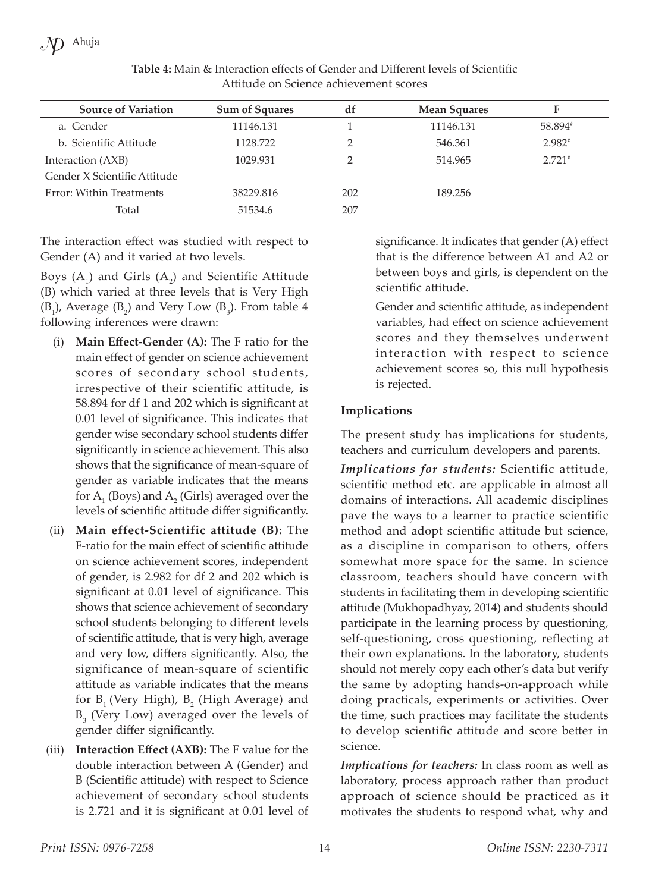| <b>Source of Variation</b>   | <b>Sum of Squares</b> | df  | <b>Mean Squares</b> | F        |
|------------------------------|-----------------------|-----|---------------------|----------|
| a. Gender                    | 11146.131             |     | 11146.131           | 58.894#  |
| b. Scientific Attitude       | 1128.722              |     | 546.361             | $2.982*$ |
| Interaction (AXB)            | 1029.931              |     | 514.965             | $2.721*$ |
| Gender X Scientific Attitude |                       |     |                     |          |
| Error: Within Treatments     | 38229.816             | 202 | 189.256             |          |
| Total                        | 51534.6               | 207 |                     |          |
|                              |                       |     |                     |          |

**Table 4:** Main & Interaction effects of Gender and Different levels of Scientific Attitude on Science achievement scores

The interaction effect was studied with respect to Gender (A) and it varied at two levels.

Boys  $(A_1)$  and Girls  $(A_2)$  and Scientific Attitude (B) which varied at three levels that is Very High  $(B_1)$ , Average  $(B_2)$  and Very Low  $(B_3)$ . From table 4 following inferences were drawn:

- (i) **Main Effect-Gender (A):** The F ratio for the main effect of gender on science achievement scores of secondary school students, irrespective of their scientific attitude, is 58.894 for df 1 and 202 which is significant at 0.01 level of significance. This indicates that gender wise secondary school students differ significantly in science achievement. This also shows that the significance of mean-square of gender as variable indicates that the means for  $A_1$  (Boys) and  $A_2$  (Girls) averaged over the levels of scientific attitude differ significantly.
- (ii) **Main effect-Scientific attitude (B):** The F-ratio for the main effect of scientific attitude on science achievement scores, independent of gender, is 2.982 for df 2 and 202 which is significant at 0.01 level of significance. This shows that science achievement of secondary school students belonging to different levels of scientific attitude, that is very high, average and very low, differs significantly. Also, the significance of mean-square of scientific attitude as variable indicates that the means for  $B_1$  (Very High),  $B_2$  (High Average) and  $B_3$  (Very Low) averaged over the levels of gender differ significantly.
- (iii) **Interaction Effect (AXB):** The F value for the double interaction between A (Gender) and B (Scientific attitude) with respect to Science achievement of secondary school students is 2.721 and it is significant at 0.01 level of

significance. It indicates that gender (A) effect that is the difference between A1 and A2 or between boys and girls, is dependent on the scientific attitude.

Gender and scientific attitude, as independent variables, had effect on science achievement scores and they themselves underwent interaction with respect to science achievement scores so, this null hypothesis is rejected.

#### **Implications**

The present study has implications for students, teachers and curriculum developers and parents.

*Implications for students:* Scientific attitude, scientific method etc. are applicable in almost all domains of interactions. All academic disciplines pave the ways to a learner to practice scientific method and adopt scientific attitude but science, as a discipline in comparison to others, offers somewhat more space for the same. In science classroom, teachers should have concern with students in facilitating them in developing scientific attitude (Mukhopadhyay, 2014) and students should participate in the learning process by questioning, self-questioning, cross questioning, reflecting at their own explanations. In the laboratory, students should not merely copy each other's data but verify the same by adopting hands-on-approach while doing practicals, experiments or activities. Over the time, such practices may facilitate the students to develop scientific attitude and score better in science.

*Implications for teachers:* In class room as well as laboratory, process approach rather than product approach of science should be practiced as it motivates the students to respond what, why and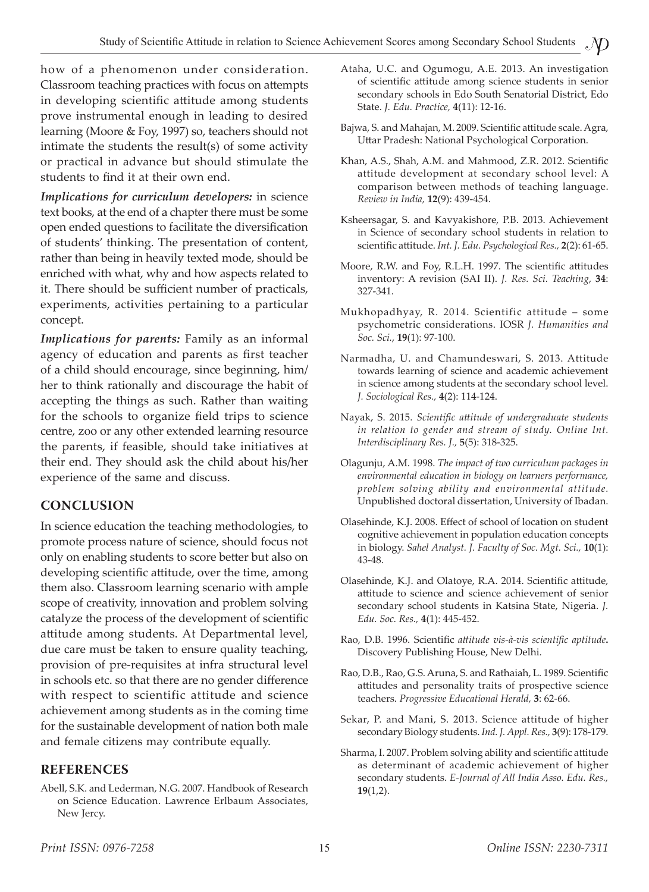how of a phenomenon under consideration. Classroom teaching practices with focus on attempts in developing scientific attitude among students prove instrumental enough in leading to desired learning (Moore & Foy, 1997) so, teachers should not intimate the students the result(s) of some activity or practical in advance but should stimulate the students to find it at their own end.

*Implications for curriculum developers:* in science text books, at the end of a chapter there must be some open ended questions to facilitate the diversification of students' thinking. The presentation of content, rather than being in heavily texted mode, should be enriched with what, why and how aspects related to it. There should be sufficient number of practicals, experiments, activities pertaining to a particular concept.

*Implications for parents:* Family as an informal agency of education and parents as first teacher of a child should encourage, since beginning, him/ her to think rationally and discourage the habit of accepting the things as such. Rather than waiting for the schools to organize field trips to science centre, zoo or any other extended learning resource the parents, if feasible, should take initiatives at their end. They should ask the child about his/her experience of the same and discuss.

# **CONCLUSION**

In science education the teaching methodologies, to promote process nature of science, should focus not only on enabling students to score better but also on developing scientific attitude, over the time, among them also. Classroom learning scenario with ample scope of creativity, innovation and problem solving catalyze the process of the development of scientific attitude among students. At Departmental level, due care must be taken to ensure quality teaching, provision of pre-requisites at infra structural level in schools etc. so that there are no gender difference with respect to scientific attitude and science achievement among students as in the coming time for the sustainable development of nation both male and female citizens may contribute equally.

#### **REFERENCES**

Abell, S.K. and Lederman, N.G. 2007. Handbook of Research on Science Education. Lawrence Erlbaum Associates, New Jercy.

- Ataha, U.C. and Ogumogu, A.E. 2013. An investigation of scientific attitude among science students in senior secondary schools in Edo South Senatorial District, Edo State. *J. Edu. Practice,* **4**(11): 12-16.
- Bajwa, S. and Mahajan, M. 2009. Scientific attitude scale. Agra, Uttar Pradesh: National Psychological Corporation.
- Khan, A.S., Shah, A.M. and Mahmood, Z.R. 2012. Scientific attitude development at secondary school level: A comparison between methods of teaching language. *Review in India,* **12**(9): 439-454.
- Ksheersagar, S. and Kavyakishore, P.B. 2013. Achievement in Science of secondary school students in relation to scientific attitude. *Int. J. Edu. Psychological Res.,* **2**(2): 61-65.
- Moore, R.W. and Foy, R.L.H. 1997. The scientific attitudes inventory: A revision (SAI II). *J. Res. Sci. Teaching*, **34**: 327-341.
- Mukhopadhyay, R. 2014. Scientific attitude some psychometric considerations. IOSR *J. Humanities and Soc. Sci.*, **19**(1): 97-100.
- Narmadha, U. and Chamundeswari, S. 2013. Attitude towards learning of science and academic achievement in science among students at the secondary school level. *J. Sociological Res.,* **4**(2): 114-124.
- Nayak, S. 2015. *Scientific attitude of undergraduate students*  in relation to gender and stream of study. Online Int. *Interdisciplinary Res. J.,* **5**(5): 318-325.
- Olagunju, A.M. 1998. *The impact of two curriculum packages in environmental education in biology on learners performance, problem solving ability and environmental attitude.* Unpublished doctoral dissertation, University of Ibadan.
- Olasehinde, K.J. 2008. Effect of school of location on student cognitive achievement in population education concepts in biology. *Sahel Analyst. J. Faculty of Soc. Mgt. Sci.,* **10**(1): 43-48.
- Olasehinde, K.J. and Olatoye, R.A. 2014. Scientific attitude, attitude to science and science achievement of senior secondary school students in Katsina State, Nigeria. *J. Edu. Soc. Res.,* **4**(1): 445-452.
- Rao, D.B. 1996. Scientific *attitude vis-à-vis scientific aptitude***.** Discovery Publishing House, New Delhi.
- Rao, D.B., Rao, G.S. Aruna, S. and Rathaiah, L. 1989. Scientific attitudes and personality traits of prospective science teachers. *Progressive Educational Herald,* **3**: 62-66.
- Sekar, P. and Mani, S. 2013. Science attitude of higher secondary Biology students. *Ind. J. Appl. Res.,* **3**(9): 178-179.
- Sharma, I. 2007. Problem solving ability and scientific attitude as determinant of academic achievement of higher secondary students. *E-Journal of All India Asso. Edu. Res.,* **19**(1,2).